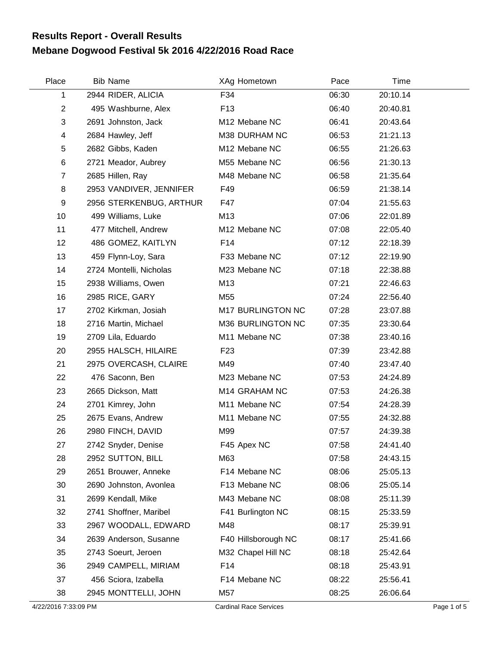## **Mebane Dogwood Festival 5k 2016 4/22/2016 Road Race Results Report - Overall Results**

| Place          | <b>Bib Name</b>         | XAg Hometown              | Pace  | Time     |  |
|----------------|-------------------------|---------------------------|-------|----------|--|
| 1              | 2944 RIDER, ALICIA      | F34                       | 06:30 | 20:10.14 |  |
| $\overline{c}$ | 495 Washburne, Alex     | F <sub>13</sub>           | 06:40 | 20:40.81 |  |
| 3              | 2691 Johnston, Jack     | M <sub>12</sub> Mebane NC | 06:41 | 20:43.64 |  |
| 4              | 2684 Hawley, Jeff       | M38 DURHAM NC             | 06:53 | 21:21.13 |  |
| 5              | 2682 Gibbs, Kaden       | M12 Mebane NC             | 06:55 | 21:26.63 |  |
| 6              | 2721 Meador, Aubrey     | M55 Mebane NC             | 06:56 | 21:30.13 |  |
| $\overline{7}$ | 2685 Hillen, Ray        | M48 Mebane NC             | 06:58 | 21:35.64 |  |
| 8              | 2953 VANDIVER, JENNIFER | F49                       | 06:59 | 21:38.14 |  |
| 9              | 2956 STERKENBUG, ARTHUR | F47                       | 07:04 | 21:55.63 |  |
| 10             | 499 Williams, Luke      | M13                       | 07:06 | 22:01.89 |  |
| 11             | 477 Mitchell, Andrew    | M12 Mebane NC             | 07:08 | 22:05.40 |  |
| 12             | 486 GOMEZ, KAITLYN      | F14                       | 07:12 | 22:18.39 |  |
| 13             | 459 Flynn-Loy, Sara     | F33 Mebane NC             | 07:12 | 22:19.90 |  |
| 14             | 2724 Montelli, Nicholas | M23 Mebane NC             | 07:18 | 22:38.88 |  |
| 15             | 2938 Williams, Owen     | M13                       | 07:21 | 22:46.63 |  |
| 16             | 2985 RICE, GARY         | M55                       | 07:24 | 22:56.40 |  |
| 17             | 2702 Kirkman, Josiah    | M17 BURLINGTON NC         | 07:28 | 23:07.88 |  |
| 18             | 2716 Martin, Michael    | M36 BURLINGTON NC         | 07:35 | 23:30.64 |  |
| 19             | 2709 Lila, Eduardo      | M11 Mebane NC             | 07:38 | 23:40.16 |  |
| 20             | 2955 HALSCH, HILAIRE    | F <sub>23</sub>           | 07:39 | 23:42.88 |  |
| 21             | 2975 OVERCASH, CLAIRE   | M49                       | 07:40 | 23:47.40 |  |
| 22             | 476 Saconn, Ben         | M23 Mebane NC             | 07:53 | 24:24.89 |  |
| 23             | 2665 Dickson, Matt      | M14 GRAHAM NC             | 07:53 | 24:26.38 |  |
| 24             | 2701 Kimrey, John       | M11 Mebane NC             | 07:54 | 24:28.39 |  |
| 25             | 2675 Evans, Andrew      | M11 Mebane NC             | 07:55 | 24:32.88 |  |
| 26             | 2980 FINCH, DAVID       | M99                       | 07:57 | 24:39.38 |  |
| 27             | 2742 Snyder, Denise     | F45 Apex NC               | 07:58 | 24:41.40 |  |
| 28             | 2952 SUTTON, BILL       | M63                       | 07:58 | 24:43.15 |  |
| 29             | 2651 Brouwer, Anneke    | F14 Mebane NC             | 08:06 | 25:05.13 |  |
| 30             | 2690 Johnston, Avonlea  | F13 Mebane NC             | 08:06 | 25:05.14 |  |
| 31             | 2699 Kendall, Mike      | M43 Mebane NC             | 08:08 | 25:11.39 |  |
| 32             | 2741 Shoffner, Maribel  | F41 Burlington NC         | 08:15 | 25:33.59 |  |
| 33             | 2967 WOODALL, EDWARD    | M48                       | 08:17 | 25:39.91 |  |
| 34             | 2639 Anderson, Susanne  | F40 Hillsborough NC       | 08:17 | 25:41.66 |  |
| 35             | 2743 Soeurt, Jeroen     | M32 Chapel Hill NC        | 08:18 | 25:42.64 |  |
| 36             | 2949 CAMPELL, MIRIAM    | F14                       | 08:18 | 25:43.91 |  |
| 37             | 456 Sciora, Izabella    | F14 Mebane NC             | 08:22 | 25:56.41 |  |
| 38             | 2945 MONTTELLI, JOHN    | M57                       | 08:25 | 26:06.64 |  |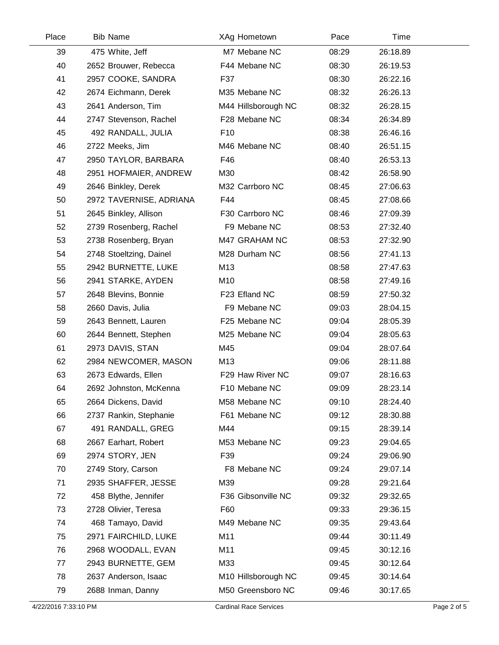| Place | <b>Bib Name</b>         | XAg Hometown        | Pace  | Time     |  |
|-------|-------------------------|---------------------|-------|----------|--|
| 39    | 475 White, Jeff         | M7 Mebane NC        | 08:29 | 26:18.89 |  |
| 40    | 2652 Brouwer, Rebecca   | F44 Mebane NC       | 08:30 | 26:19.53 |  |
| 41    | 2957 COOKE, SANDRA      | F37                 | 08:30 | 26:22.16 |  |
| 42    | 2674 Eichmann, Derek    | M35 Mebane NC       | 08:32 | 26:26.13 |  |
| 43    | 2641 Anderson, Tim      | M44 Hillsborough NC | 08:32 | 26:28.15 |  |
| 44    | 2747 Stevenson, Rachel  | F28 Mebane NC       | 08:34 | 26:34.89 |  |
| 45    | 492 RANDALL, JULIA      | F <sub>10</sub>     | 08:38 | 26:46.16 |  |
| 46    | 2722 Meeks, Jim         | M46 Mebane NC       | 08:40 | 26:51.15 |  |
| 47    | 2950 TAYLOR, BARBARA    | F46                 | 08:40 | 26:53.13 |  |
| 48    | 2951 HOFMAIER, ANDREW   | M30                 | 08:42 | 26:58.90 |  |
| 49    | 2646 Binkley, Derek     | M32 Carrboro NC     | 08:45 | 27:06.63 |  |
| 50    | 2972 TAVERNISE, ADRIANA | F44                 | 08:45 | 27:08.66 |  |
| 51    | 2645 Binkley, Allison   | F30 Carrboro NC     | 08:46 | 27:09.39 |  |
| 52    | 2739 Rosenberg, Rachel  | F9 Mebane NC        | 08:53 | 27:32.40 |  |
| 53    | 2738 Rosenberg, Bryan   | M47 GRAHAM NC       | 08:53 | 27:32.90 |  |
| 54    | 2748 Stoeltzing, Dainel | M28 Durham NC       | 08:56 | 27:41.13 |  |
| 55    | 2942 BURNETTE, LUKE     | M13                 | 08:58 | 27:47.63 |  |
| 56    | 2941 STARKE, AYDEN      | M10                 | 08:58 | 27:49.16 |  |
| 57    | 2648 Blevins, Bonnie    | F23 Efland NC       | 08:59 | 27:50.32 |  |
| 58    | 2660 Davis, Julia       | F9 Mebane NC        | 09:03 | 28:04.15 |  |
| 59    | 2643 Bennett, Lauren    | F25 Mebane NC       | 09:04 | 28:05.39 |  |
| 60    | 2644 Bennett, Stephen   | M25 Mebane NC       | 09:04 | 28:05.63 |  |
| 61    | 2973 DAVIS, STAN        | M45                 | 09:04 | 28:07.64 |  |
| 62    | 2984 NEWCOMER, MASON    | M13                 | 09:06 | 28:11.88 |  |
| 63    | 2673 Edwards, Ellen     | F29 Haw River NC    | 09:07 | 28:16.63 |  |
| 64    | 2692 Johnston, McKenna  | F10 Mebane NC       | 09:09 | 28:23.14 |  |
| 65    | 2664 Dickens, David     | M58 Mebane NC       | 09:10 | 28:24.40 |  |
| 66    | 2737 Rankin, Stephanie  | F61 Mebane NC       | 09:12 | 28:30.88 |  |
| 67    | 491 RANDALL, GREG       | M44                 | 09:15 | 28:39.14 |  |
| 68    | 2667 Earhart, Robert    | M53 Mebane NC       | 09:23 | 29:04.65 |  |
| 69    | 2974 STORY, JEN         | F39                 | 09:24 | 29:06.90 |  |
| 70    | 2749 Story, Carson      | F8 Mebane NC        | 09:24 | 29:07.14 |  |
| 71    | 2935 SHAFFER, JESSE     | M39                 | 09:28 | 29:21.64 |  |
| 72    | 458 Blythe, Jennifer    | F36 Gibsonville NC  | 09:32 | 29:32.65 |  |
| 73    | 2728 Olivier, Teresa    | F60                 | 09:33 | 29:36.15 |  |
| 74    | 468 Tamayo, David       | M49 Mebane NC       | 09:35 | 29:43.64 |  |
| 75    | 2971 FAIRCHILD, LUKE    | M11                 | 09:44 | 30:11.49 |  |
| 76    | 2968 WOODALL, EVAN      | M11                 | 09:45 | 30:12.16 |  |
| 77    | 2943 BURNETTE, GEM      | M33                 | 09:45 | 30:12.64 |  |
| 78    | 2637 Anderson, Isaac    | M10 Hillsborough NC | 09:45 | 30:14.64 |  |
| 79    | 2688 Inman, Danny       | M50 Greensboro NC   | 09:46 | 30:17.65 |  |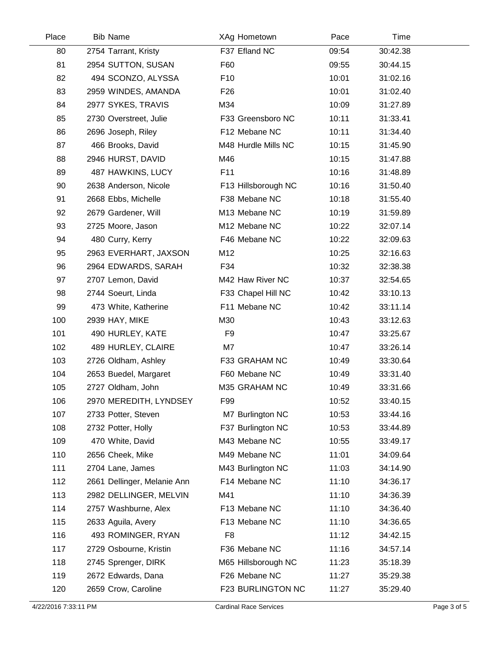| Place | <b>Bib Name</b>             | XAg Hometown        | Pace  | <b>Time</b> |  |
|-------|-----------------------------|---------------------|-------|-------------|--|
| 80    | 2754 Tarrant, Kristy        | F37 Efland NC       | 09:54 | 30:42.38    |  |
| 81    | 2954 SUTTON, SUSAN          | F60                 | 09:55 | 30:44.15    |  |
| 82    | 494 SCONZO, ALYSSA          | F <sub>10</sub>     | 10:01 | 31:02.16    |  |
| 83    | 2959 WINDES, AMANDA         | F <sub>26</sub>     | 10:01 | 31:02.40    |  |
| 84    | 2977 SYKES, TRAVIS          | M34                 | 10:09 | 31:27.89    |  |
| 85    | 2730 Overstreet, Julie      | F33 Greensboro NC   | 10:11 | 31:33.41    |  |
| 86    | 2696 Joseph, Riley          | F12 Mebane NC       | 10:11 | 31:34.40    |  |
| 87    | 466 Brooks, David           | M48 Hurdle Mills NC | 10:15 | 31:45.90    |  |
| 88    | 2946 HURST, DAVID           | M46                 | 10:15 | 31:47.88    |  |
| 89    | 487 HAWKINS, LUCY           | F11                 | 10:16 | 31:48.89    |  |
| 90    | 2638 Anderson, Nicole       | F13 Hillsborough NC | 10:16 | 31:50.40    |  |
| 91    | 2668 Ebbs, Michelle         | F38 Mebane NC       | 10:18 | 31:55.40    |  |
| 92    | 2679 Gardener, Will         | M13 Mebane NC       | 10:19 | 31:59.89    |  |
| 93    | 2725 Moore, Jason           | M12 Mebane NC       | 10:22 | 32:07.14    |  |
| 94    | 480 Curry, Kerry            | F46 Mebane NC       | 10:22 | 32:09.63    |  |
| 95    | 2963 EVERHART, JAXSON       | M12                 | 10:25 | 32:16.63    |  |
| 96    | 2964 EDWARDS, SARAH         | F34                 | 10:32 | 32:38.38    |  |
| 97    | 2707 Lemon, David           | M42 Haw River NC    | 10:37 | 32:54.65    |  |
| 98    | 2744 Soeurt, Linda          | F33 Chapel Hill NC  | 10:42 | 33:10.13    |  |
| 99    | 473 White, Katherine        | F11 Mebane NC       | 10:42 | 33:11.14    |  |
| 100   | 2939 HAY, MIKE              | M30                 | 10:43 | 33:12.63    |  |
| 101   | 490 HURLEY, KATE            | F <sub>9</sub>      | 10:47 | 33:25.67    |  |
| 102   | 489 HURLEY, CLAIRE          | M7                  | 10:47 | 33:26.14    |  |
| 103   | 2726 Oldham, Ashley         | F33 GRAHAM NC       | 10:49 | 33:30.64    |  |
| 104   | 2653 Buedel, Margaret       | F60 Mebane NC       | 10:49 | 33:31.40    |  |
| 105   | 2727 Oldham, John           | M35 GRAHAM NC       | 10:49 | 33:31.66    |  |
| 106   | 2970 MEREDITH, LYNDSEY      | F99                 | 10:52 | 33:40.15    |  |
| 107   | 2733 Potter, Steven         | M7 Burlington NC    | 10:53 | 33:44.16    |  |
| 108   | 2732 Potter, Holly          | F37 Burlington NC   | 10:53 | 33:44.89    |  |
| 109   | 470 White, David            | M43 Mebane NC       | 10:55 | 33:49.17    |  |
| 110   | 2656 Cheek, Mike            | M49 Mebane NC       | 11:01 | 34:09.64    |  |
| 111   | 2704 Lane, James            | M43 Burlington NC   | 11:03 | 34:14.90    |  |
| 112   | 2661 Dellinger, Melanie Ann | F14 Mebane NC       | 11:10 | 34:36.17    |  |
| 113   | 2982 DELLINGER, MELVIN      | M41                 | 11:10 | 34:36.39    |  |
| 114   | 2757 Washburne, Alex        | F13 Mebane NC       | 11:10 | 34:36.40    |  |
| 115   | 2633 Aguila, Avery          | F13 Mebane NC       | 11:10 | 34:36.65    |  |
| 116   | 493 ROMINGER, RYAN          | F <sub>8</sub>      | 11:12 | 34:42.15    |  |
| 117   | 2729 Osbourne, Kristin      | F36 Mebane NC       | 11:16 | 34:57.14    |  |
| 118   | 2745 Sprenger, DIRK         | M65 Hillsborough NC | 11:23 | 35:18.39    |  |
| 119   | 2672 Edwards, Dana          | F26 Mebane NC       | 11:27 | 35:29.38    |  |
| 120   | 2659 Crow, Caroline         | F23 BURLINGTON NC   | 11:27 | 35:29.40    |  |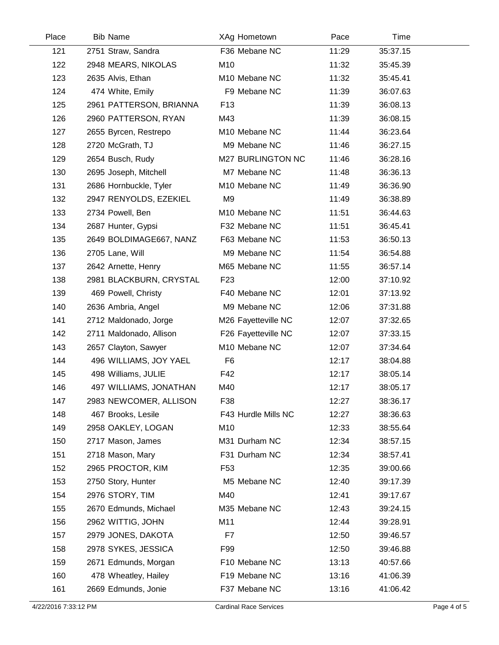| Place | <b>Bib Name</b>         | XAg Hometown        | Pace  | Time     |  |
|-------|-------------------------|---------------------|-------|----------|--|
| 121   | 2751 Straw, Sandra      | F36 Mebane NC       | 11:29 | 35:37.15 |  |
| 122   | 2948 MEARS, NIKOLAS     | M10                 | 11:32 | 35:45.39 |  |
| 123   | 2635 Alvis, Ethan       | M10 Mebane NC       | 11:32 | 35:45.41 |  |
| 124   | 474 White, Emily        | F9 Mebane NC        | 11:39 | 36:07.63 |  |
| 125   | 2961 PATTERSON, BRIANNA | F <sub>13</sub>     | 11:39 | 36:08.13 |  |
| 126   | 2960 PATTERSON, RYAN    | M43                 | 11:39 | 36:08.15 |  |
| 127   | 2655 Byrcen, Restrepo   | M10 Mebane NC       | 11:44 | 36:23.64 |  |
| 128   | 2720 McGrath, TJ        | M9 Mebane NC        | 11:46 | 36:27.15 |  |
| 129   | 2654 Busch, Rudy        | M27 BURLINGTON NC   | 11:46 | 36:28.16 |  |
| 130   | 2695 Joseph, Mitchell   | M7 Mebane NC        | 11:48 | 36:36.13 |  |
| 131   | 2686 Hornbuckle, Tyler  | M10 Mebane NC       | 11:49 | 36:36.90 |  |
| 132   | 2947 RENYOLDS, EZEKIEL  | M <sub>9</sub>      | 11:49 | 36:38.89 |  |
| 133   | 2734 Powell, Ben        | M10 Mebane NC       | 11:51 | 36:44.63 |  |
| 134   | 2687 Hunter, Gypsi      | F32 Mebane NC       | 11:51 | 36:45.41 |  |
| 135   | 2649 BOLDIMAGE667, NANZ | F63 Mebane NC       | 11:53 | 36:50.13 |  |
| 136   | 2705 Lane, Will         | M9 Mebane NC        | 11:54 | 36:54.88 |  |
| 137   | 2642 Arnette, Henry     | M65 Mebane NC       | 11:55 | 36:57.14 |  |
| 138   | 2981 BLACKBURN, CRYSTAL | F <sub>23</sub>     | 12:00 | 37:10.92 |  |
| 139   | 469 Powell, Christy     | F40 Mebane NC       | 12:01 | 37:13.92 |  |
| 140   | 2636 Ambria, Angel      | M9 Mebane NC        | 12:06 | 37:31.88 |  |
| 141   | 2712 Maldonado, Jorge   | M26 Fayetteville NC | 12:07 | 37:32.65 |  |
| 142   | 2711 Maldonado, Allison | F26 Fayetteville NC | 12:07 | 37:33.15 |  |
| 143   | 2657 Clayton, Sawyer    | M10 Mebane NC       | 12:07 | 37:34.64 |  |
| 144   | 496 WILLIAMS, JOY YAEL  | F <sub>6</sub>      | 12:17 | 38:04.88 |  |
| 145   | 498 Williams, JULIE     | F42                 | 12:17 | 38:05.14 |  |
| 146   | 497 WILLIAMS, JONATHAN  | M40                 | 12:17 | 38:05.17 |  |
| 147   | 2983 NEWCOMER, ALLISON  | F38                 | 12:27 | 38:36.17 |  |
| 148   | 467 Brooks, Lesile      | F43 Hurdle Mills NC | 12:27 | 38:36.63 |  |
| 149   | 2958 OAKLEY, LOGAN      | M10                 | 12:33 | 38:55.64 |  |
| 150   | 2717 Mason, James       | M31 Durham NC       | 12:34 | 38:57.15 |  |
| 151   | 2718 Mason, Mary        | F31 Durham NC       | 12:34 | 38:57.41 |  |
| 152   | 2965 PROCTOR, KIM       | F53                 | 12:35 | 39:00.66 |  |
| 153   | 2750 Story, Hunter      | M5 Mebane NC        | 12:40 | 39:17.39 |  |
| 154   | 2976 STORY, TIM         | M40                 | 12:41 | 39:17.67 |  |
| 155   | 2670 Edmunds, Michael   | M35 Mebane NC       | 12:43 | 39:24.15 |  |
| 156   | 2962 WITTIG, JOHN       | M11                 | 12:44 | 39:28.91 |  |
| 157   | 2979 JONES, DAKOTA      | F7                  | 12:50 | 39:46.57 |  |
| 158   | 2978 SYKES, JESSICA     | F99                 | 12:50 | 39:46.88 |  |
| 159   | 2671 Edmunds, Morgan    | F10 Mebane NC       | 13:13 | 40:57.66 |  |
| 160   | 478 Wheatley, Hailey    | F19 Mebane NC       | 13:16 | 41:06.39 |  |
| 161   | 2669 Edmunds, Jonie     | F37 Mebane NC       | 13:16 | 41:06.42 |  |